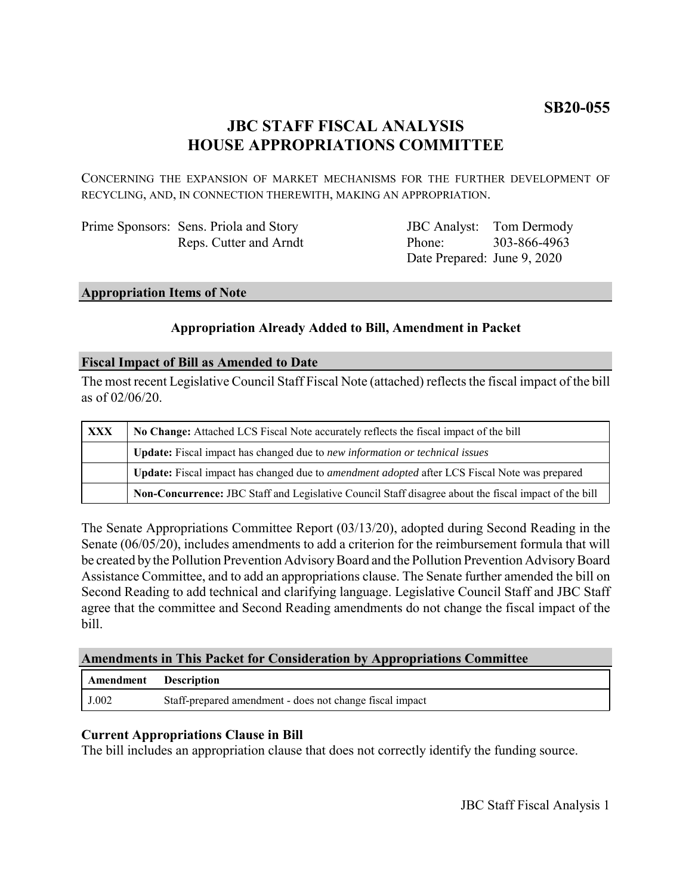## **JBC STAFF FISCAL ANALYSIS HOUSE APPROPRIATIONS COMMITTEE**

CONCERNING THE EXPANSION OF MARKET MECHANISMS FOR THE FURTHER DEVELOPMENT OF RECYCLING, AND, IN CONNECTION THEREWITH, MAKING AN APPROPRIATION.

| Prime Sponsors: Sens. Priola and Story |
|----------------------------------------|
| Reps. Cutter and Arndt                 |

JBC Analyst: Tom Dermody Phone: Date Prepared: June 9, 2020 303-866-4963

#### **Appropriation Items of Note**

#### **Appropriation Already Added to Bill, Amendment in Packet**

#### **Fiscal Impact of Bill as Amended to Date**

The most recent Legislative Council Staff Fiscal Note (attached) reflects the fiscal impact of the bill as of 02/06/20.

| <b>XXX</b> | No Change: Attached LCS Fiscal Note accurately reflects the fiscal impact of the bill                       |  |
|------------|-------------------------------------------------------------------------------------------------------------|--|
|            | <b>Update:</b> Fiscal impact has changed due to new information or technical issues                         |  |
|            | <b>Update:</b> Fiscal impact has changed due to <i>amendment adopted</i> after LCS Fiscal Note was prepared |  |
|            | Non-Concurrence: JBC Staff and Legislative Council Staff disagree about the fiscal impact of the bill       |  |

The Senate Appropriations Committee Report (03/13/20), adopted during Second Reading in the Senate (06/05/20), includes amendments to add a criterion for the reimbursement formula that will be created by the Pollution Prevention Advisory Board and the Pollution Prevention Advisory Board Assistance Committee, and to add an appropriations clause. The Senate further amended the bill on Second Reading to add technical and clarifying language. Legislative Council Staff and JBC Staff agree that the committee and Second Reading amendments do not change the fiscal impact of the bill.

#### **Amendments in This Packet for Consideration by Appropriations Committee**

| Amendment | <b>Description</b>                                       |
|-----------|----------------------------------------------------------|
| J.002     | Staff-prepared amendment - does not change fiscal impact |

### **Current Appropriations Clause in Bill**

The bill includes an appropriation clause that does not correctly identify the funding source.